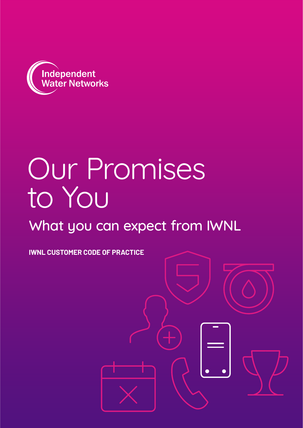

# Our Promises to You

# What you can expect from IWNL

**IWNL CUSTOMER CODE OF PRACTICE**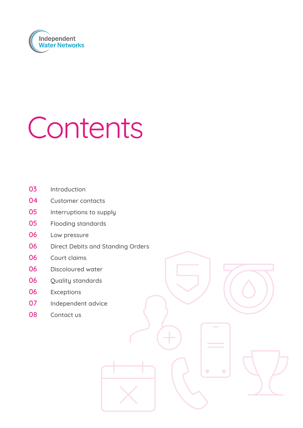

# Contents

- Introduction
- Customer contacts
- Interruptions to supply
- Flooding standards
- Low pressure
- Direct Debits and Standing Orders
- Court claims
- Discoloured water
- 06 Ouality standards
- Exceptions
- Independent advice
- 08 Contact us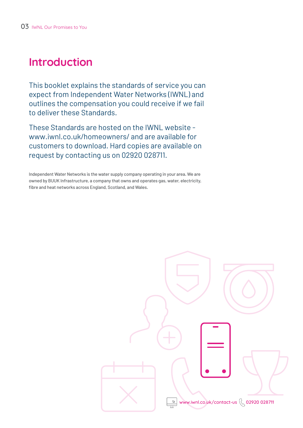# **Introduction**

This booklet explains the standards of service you can expect from Independent Water Networks (IWNL) and outlines the compensation you could receive if we fail to deliver these Standards.

These Standards are hosted on the IWNL website www.iwnl.co.uk/homeowners/ and are available for customers to download. Hard copies are available on request by contacting us on 02920 028711.

Independent Water Networks is the water supply company operating in your area. We are owned by BUUK Infrastructure, a company that owns and operates gas, water, electricity, fibre and heat networks across England, Scotland, and Wales.

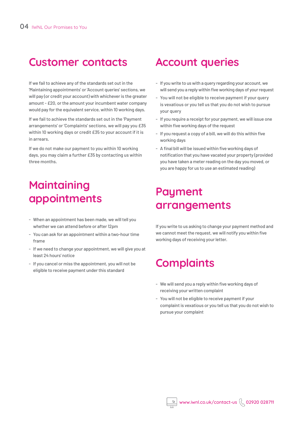### **Customer contacts**

If we fail to achieve any of the standards set out in the 'Maintaining appointments' or 'Account queries' sections, we will pay (or credit your account) with whichever is the greater amount - £20, or the amount your incumbent water company would pay for the equivalent service, within 10 working days.

If we fail to achieve the standards set out in the 'Payment arrangements' or 'Complaints' sections, we will pay you £35 within 10 working days or credit £35 to your account if it is in arrears.

If we do not make our payment to you within 10 working days, you may claim a further £35 by contacting us within three months.

# **Maintaining appointments Payment**

- When an appointment has been made, we will tell you whether we can attend before or after 12pm
- You can ask for an appointment within a two-hour time frame
- If we need to change your appointment, we will give you at least 24 hours' notice
- If you cancel or miss the appointment, you will not be eligible to receive payment under this standard

### **Account queries**

- If you write to us with a query regarding your account, we will send you a reply within five working days of your request
- You will not be eligible to receive payment if your query is vexatious or you tell us that you do not wish to pursue your query
- If you require a receipt for your payment, we will issue one within five working days of the request
- If you request a copy of a bill, we will do this within five working days
- A final bill will be issued within five working days of notification that you have vacated your property (provided you have taken a meter reading on the day you moved, or you are happy for us to use an estimated reading)

# **arrangements**

If you write to us asking to change your payment method and we cannot meet the request, we will notify you within five working days of receiving your letter.

# **Complaints**

- We will send you a reply within five working days of receiving your written complaint
- You will not be eligible to receive payment if your complaint is vexatious or you tell us that you do not wish to pursue your complaint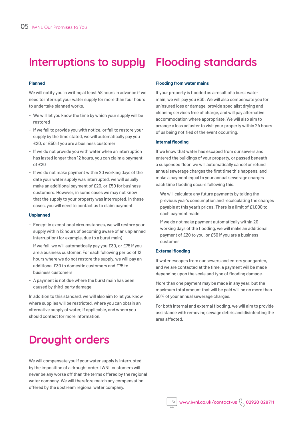### **Interruptions to supply**

### **Planned**

We will notify you in writing at least 48 hours in advance if we need to interrupt your water supply for more than four hours to undertake planned works.

- We will let you know the time by which your supply will be restored
- If we fail to provide you with notice, or fail to restore your supply by the time stated, we will automatically pay you £20, or £50 if you are a business customer
- If we do not provide you with water when an interruption has lasted longer than 12 hours, you can claim a payment of £20
- If we do not make payment within 20 working days of the date your water supply was interrupted, we will usually make an additional payment of £20, or £50 for business customers. However, in some cases we may not know that the supply to your property was interrupted. In these cases, you will need to contact us to claim payment

### **Unplanned**

- Except in exceptional circumstances, we will restore your supply within 12 hours of becoming aware of an unplanned interruption (for example, due to a burst main)
- If we fail, we will automatically pay you £30, or £75 if you are a business customer. For each following period of 12 hours where we do not restore the supply, we will pay an additional £30 to domestic customers and £75 to business customers
- A payment is not due where the burst main has been caused by third-party damage

In addition to this standard, we will also aim to let you know where supplies will be restricted, where you can obtain an alternative supply of water, if applicable, and whom you should contact for more information.

# **Drought orders**

We will compensate you if your water supply is interrupted by the imposition of a drought order. IWNL customers will never be any worse off than the terms offered by the regional water company. We will therefore match any compensation offered by the upstream regional water company.

# **Flooding standards**

### **Flooding from water mains**

If your property is flooded as a result of a burst water main, we will pay you £30. We will also compensate you for uninsured loss or damage, provide specialist drying and cleaning services free of charge, and will pay alternative accommodation where appropriate. We will also aim to arrange a loss adjuster to visit your property within 24 hours of us being notified of the event occurring.

### **Internal flooding**

If we know that water has escaped from our sewers and entered the buildings of your property, or passed beneath a suspended floor, we will automatically cancel or refund annual sewerage charges the first time this happens, and make a payment equal to your annual sewerage charges each time flooding occurs following this.

- We will calculate any future payments by taking the previous year's consumption and recalculating the charges payable at this year's prices. There is a limit of £1,000 to each payment made
- If we do not make payment automatically within 20 working days of the flooding, we will make an additional payment of £20 to you, or £50 if you are a business customer

### **External flooding**

If water escapes from our sewers and enters your garden, and we are contacted at the time, a payment will be made depending upon the scale and type of flooding damage.

More than one payment may be made in any year, but the maximum total amount that will be paid will be no more than 50% of your annual sewerage charges.

For both internal and external flooding, we will aim to provide assistance with removing sewage debris and disinfecting the area affected.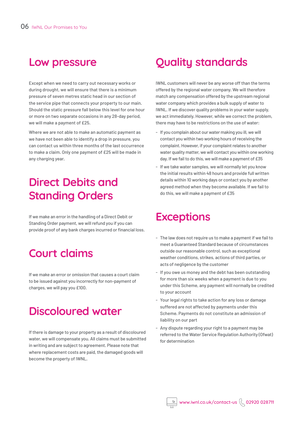Except when we need to carry out necessary works or during drought, we will ensure that there is a minimum pressure of seven metres static head in our section of the service pipe that connects your property to our main. Should the static pressure fall below this level for one hour or more on two separate occasions in any 28-day period, we will make a payment of £25.

Where we are not able to make an automatic payment as we have not been able to identify a drop in pressure, you can contact us within three months of the last occurrence to make a claim. Only one payment of £25 will be made in any charging year.

# **Direct Debits and Standing Orders**

If we make an error in the handling of a Direct Debit or Standing Order payment, we will refund you if you can provide proof of any bank charges incurred or financial loss.

### **Court claims**

If we make an error or omission that causes a court claim to be issued against you incorrectly for non-payment of charges, we will pay you £100.

# **Discoloured water**

If there is damage to your property as a result of discoloured water, we will compensate you. All claims must be submitted in writing and are subject to agreement. Please note that where replacement costs are paid, the damaged goods will become the property of IWNL.

# **Low pressure Quality standards**

IWNL customers will never be any worse off than the terms offered by the regional water company. We will therefore match any compensation offered by the upstream regional water company which provides a bulk supply of water to IWNL. If we discover quality problems in your water supply, we act immediately. However, while we correct the problem, there may have to be restrictions on the use of water:

- If you complain about our water making you ill, we will contact you within two working hours of receiving the complaint. However, if your complaint relates to another water quality matter, we will contact you within one working day. If we fail to do this, we will make a payment of £35
- If we take water samples, we will normally let you know the initial results within 48 hours and provide full written details within 10 working days or contact you by another agreed method when they become available. If we fail to do this, we will make a payment of £35

### **Exceptions**

- The law does not require us to make a payment if we fail to meet a Guaranteed Standard because of circumstances outside our reasonable control, such as exceptional weather conditions, strikes, actions of third parties, or acts of negligence by the customer
- If you owe us money and the debt has been outstanding for more than six weeks when a payment is due to you under this Scheme, any payment will normally be credited to your account
- Your legal rights to take action for any loss or damage suffered are not affected by payments under this Scheme. Payments do not constitute an admission of liability on our part
- Any dispute regarding your right to a payment may be referred to the Water Service Regulation Authority (Ofwat) for determination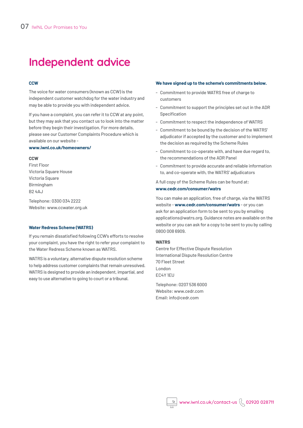# **Independent advice**

### **CCW**

The voice for water consumers (known as CCW) is the independent customer watchdog for the water industry and may be able to provide you with independent advice.

If you have a complaint, you can refer it to CCW at any point, but they may ask that you contact us to look into the matter before they begin their investigation. For more details, please see our Customer Complaints Procedure which is available on our website -

### **www.iwnl.co.uk/homeowners/**

### **CCW**

First Floor Victoria Square House Victoria Square Birmingham B2 4AJ

Telephone: 0300 034 2222 Website: www.ccwater.org.uk

### **Water Redress Scheme (WATRS)**

If you remain dissatisfied following CCW's efforts to resolve your complaint, you have the right to refer your complaint to the Water Redress Scheme known as WATRS.

WATRS is a voluntary, alternative dispute resolution scheme to help address customer complaints that remain unresolved. WATRS is designed to provide an independent, impartial, and easy to use alternative to going to court or a tribunal.

### **We have signed up to the scheme's commitments below.**

- Commitment to provide WATRS free of charge to customers
- Commitment to support the principles set out in the ADR Specification
- Commitment to respect the independence of WATRS
- Commitment to be bound by the decision of the WATRS' adjudicator if accepted by the customer and to implement the decision as required by the Scheme Rules
- Commitment to co-operate with, and have due regard to, the recommendations of the ADR Panel
- Commitment to provide accurate and reliable information to, and co-operate with, the WATRS' adjudicators

A full copy of the Scheme Rules can be found at: **www.cedr.com/consumer/watrs**

You can make an application, free of charge, via the WATRS website - **www.cedr.com/consumer/watrs** - or you can ask for an application form to be sent to you by emailing applications@watrs.org. Guidance notes are available on the website or you can ask for a copy to be sent to you by calling 0800 008 6909.

### **WATRS**

Centre for Effective Dispute Resolution International Dispute Resolution Centre 70 Fleet Street London EC4Y 1EU

Telephone: 0207 536 6000 Website: www.cedr.com Email: info@cedr.com